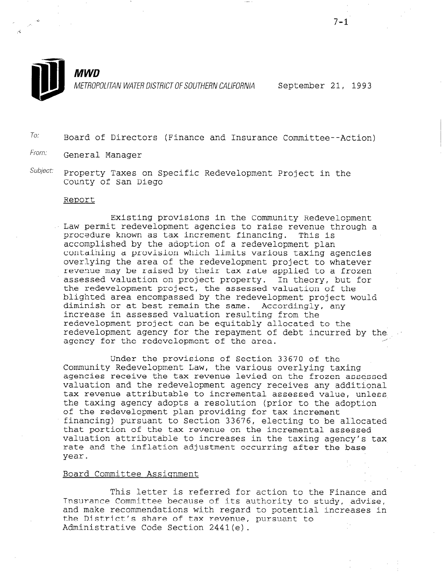

.L ' 4

METROPOLITAN WATER DISTRICT OF SOUTHERN CALIFORNIA September 21, 1993

To: Board of Directors (Finance and Insurance Committee--Action)

- From: General Manager
- Subject: Property Taxes on Specific Redevelopment Project in the County of San Diego

### Report

Existing provisions in the Community Redevelopment Law permit redevelopment agencies to raise revenue through a procedure known as tax increment financing. This is accomplished by the adoption of a redevelopment plan containing a provision which limits various taxing agencies overlying the area of the redevelopment project to whatever revenue may be raised by their tax rate applied to a frozen assessed valuation on project property. In theory, but for the redevelopment project, the assessed valuation of the blighted area encompassed by the redevelopment project would diminish or at best remain the same. Accordingly, any increase in assessed valuation resulting from the redevelopment project can be equitably allocated to the redevelopment agency for the repayment of debt incurred by the redevelopment agency for the repayment of debt incurred by the scanner for the area.

Under the provisions of Section 33670 of the Community Redevelopment Law, the various overlying taxing community receveropment haw, the various overlying taxing valuation and the redevelopment agency receives any additional valuation and the redevelopment agency receives any additional<br>tax revenue attributable to incremental assessed value, unless the taxing agency adopts a resolution (prior to the adoption of the redevelopment plan providing for tax increment of the redevelopment plan providing for tax increment financing) pursuant to Section 33676, electing to be allocated that portion of the tax revenue on the incremental assessed valuation attributable to increases in the taxing agency's tax rate and the inflation adjustment occurring after the base year.

## Board Committee Assignment

This letter is referred for action to the Finance and Inis letter is referred for action to the finance and its authority to study, and its authority to study, and Insurance Committee because of its authority to study, advise, and make recommendations with regard to potential increases in the District's share of tax revenue, pursuant to<br>Administrative Code Section 2441(e).

 $7 - 1$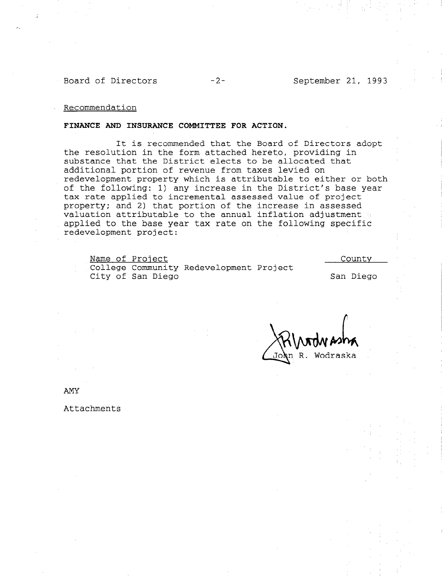Board of Directors -2- September 21, 1993

Recommendation

## FINANCE AND INSURANCE COMMITTEE FOR ACTION.

It is recommended that the Board of Directors adopt the resolution in the form attached hereto, providing in substance that the District elects to be allocated that additional portion of revenue from taxes levied on redevelopment property which is attributable to either or both of the following: 1) any increase in the District's base year tax rate applied to incremental assessed value of project property; and 2) that portion of the increase in assessed valuation attributable to the annual inflation adjustment applied to the base year tax rate on the following specific redevelopment project:

| Name of Project   |                                         | County    |
|-------------------|-----------------------------------------|-----------|
|                   | College Community Redevelopment Project |           |
| City of San Diego |                                         | San Diego |

Jo**h**n R. Wodraska

AMY

Attachments